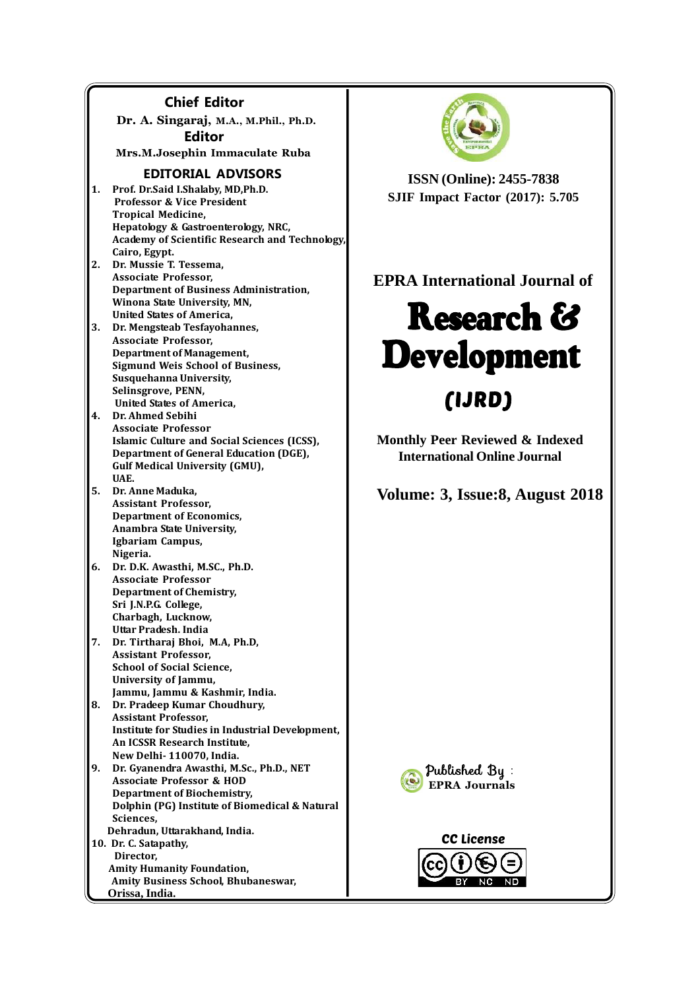### **Chief Editor**

**Dr. A. Singaraj, M.A., M.Phil., Ph.D. Editor Mrs.M.Josephin Immaculate Ruba**

#### **EDITORIAL ADVISORS**

- **1. Prof. Dr.Said I.Shalaby, MD,Ph.D. Professor & Vice President Tropical Medicine, Hepatology & Gastroenterology, NRC, Academy of Scientific Research and Technology, Cairo, Egypt.**
- **2. Dr. Mussie T. Tessema, Associate Professor, Department of Business Administration, Winona State University, MN, United States of America,**
- **3. Dr. Mengsteab Tesfayohannes, Associate Professor, Department of Management, Sigmund Weis School of Business, Susquehanna University, Selinsgrove, PENN, United States of America,**
- **4. Dr. Ahmed Sebihi Associate Professor Islamic Culture and Social Sciences (ICSS), Department of General Education (DGE), Gulf Medical University (GMU), UAE.**
- **5. Dr. Anne Maduka, Assistant Professor, Department of Economics, Anambra State University, Igbariam Campus, Nigeria.**
- **6. Dr. D.K. Awasthi, M.SC., Ph.D. Associate Professor Department of Chemistry, Sri J.N.P.G. College, Charbagh, Lucknow, Uttar Pradesh. India**
- **7. Dr. Tirtharaj Bhoi, M.A, Ph.D, Assistant Professor, School of Social Science, University of Jammu, Jammu, Jammu & Kashmir, India.**
- **8. Dr. Pradeep Kumar Choudhury, Assistant Professor, Institute for Studies in Industrial Development, An ICSSR Research Institute, New Delhi- 110070, India.**
- **9. Dr. Gyanendra Awasthi, M.Sc., Ph.D., NET Associate Professor & HOD Department of Biochemistry, Dolphin (PG) Institute of Biomedical & Natural Sciences, Dehradun, Uttarakhand, India.**

**10. Dr. C. Satapathy, Director, Amity Humanity Foundation, Amity Business School, Bhubaneswar, Orissa, India.**



**ISSN (Online): 2455-7838 SJIF Impact Factor (2017): 5.705**

## **EPRA International Journal of**

# **Research & Development (IJRD)**

**Monthly Peer Reviewed & Indexed International Online Journal**

**Volume: 3, Issue:8, August 2018**



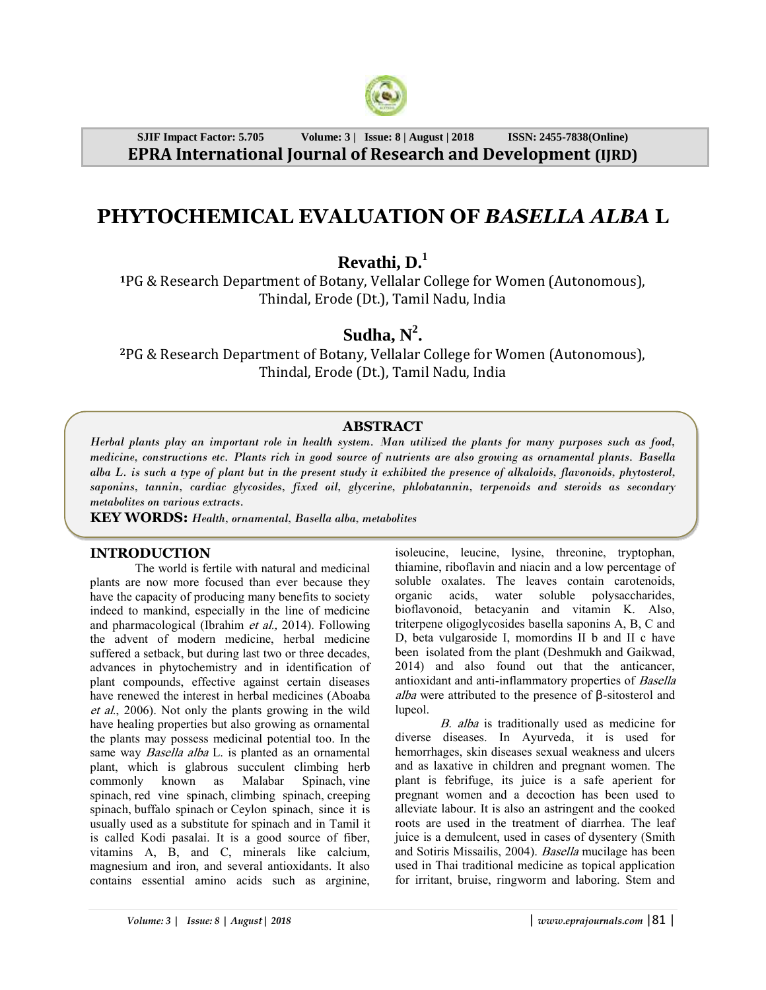

**SJIF Impact Factor: 5.705 Volume: 3 | Issue: 8 | August | 2018 ISSN: 2455-7838(Online) EPRA International Journal of Research and Development (IJRD)**

# **PHYTOCHEMICAL EVALUATION OF** *BASELLA ALBA* **L**

**Revathi, D.<sup>1</sup>**

**<sup>1</sup>**PG & Research Department of Botany, Vellalar College for Women (Autonomous), Thindal, Erode (Dt.), Tamil Nadu, India

# $S$ **udha**,  $N^2$ .

**<sup>2</sup>**PG & Research Department of Botany, Vellalar College for Women (Autonomous), Thindal, Erode (Dt.), Tamil Nadu, India

## **ABSTRACT**

*Herbal plants play an important role in health system. Man utilized the plants for many purposes such as food, medicine, constructions etc. Plants rich in good source of nutrients are also growing as ornamental plants. Basella alba L. is such a type of plant but in the present study it exhibited the presence of alkaloids, flavonoids, phytosterol, saponins, tannin, cardiac glycosides, fixed oil, glycerine, phlobatannin, terpenoids and steroids as secondary metabolites on various extracts.*

**KEY WORDS:** *Health, ornamental, Basella alba, metabolites*

#### **INTRODUCTION**

The world is fertile with natural and medicinal plants are now more focused than ever because they have the capacity of producing many benefits to society indeed to mankind, especially in the line of medicine and pharmacological (Ibrahim et al., 2014). Following the advent of modern medicine, herbal medicine suffered a setback, but during last two or three decades, advances in phytochemistry and in identification of plant compounds, effective against certain diseases have renewed the interest in herbal medicines (Aboaba et al., 2006). Not only the plants growing in the wild have healing properties but also growing as ornamental the plants may possess medicinal potential too. In the same way *Basella alba* L. is planted as an ornamental plant, which is glabrous succulent climbing herb commonly known as Malabar Spinach, vine spinach, red vine spinach, climbing spinach, creeping spinach, buffalo spinach or Ceylon spinach, since it is usually used as a substitute for spinach and in Tamil it is called Kodi pasalai. It is a good source of fiber, vitamins A, B, and C, minerals like calcium, magnesium and iron, and several antioxidants. It also contains essential amino acids such as arginine, isoleucine, leucine, lysine, threonine, tryptophan, thiamine, riboflavin and niacin and a low percentage of soluble oxalates. The leaves contain carotenoids, organic acids, water soluble polysaccharides, bioflavonoid, betacyanin and vitamin K. Also, triterpene oligoglycosides basella saponins A, B, C and D, beta vulgaroside I, momordins II b and II c have been isolated from the plant (Deshmukh and Gaikwad, 2014) and also found out that the anticancer, antioxidant and anti-inflammatory properties of Basella alba were attributed to the presence of  $\beta$ -sitosterol and lupeol.

B. alba is traditionally used as medicine for diverse diseases. In Ayurveda, it is used for hemorrhages, skin diseases sexual weakness and ulcers and as laxative in children and pregnant women. The plant is febrifuge, its juice is a safe aperient for pregnant women and a decoction has been used to alleviate labour. It is also an astringent and the cooked roots are used in the treatment of diarrhea. The leaf juice is a demulcent, used in cases of dysentery (Smith and Sotiris Missailis, 2004). Basella mucilage has been used in Thai traditional medicine as topical application for irritant, bruise, ringworm and laboring. Stem and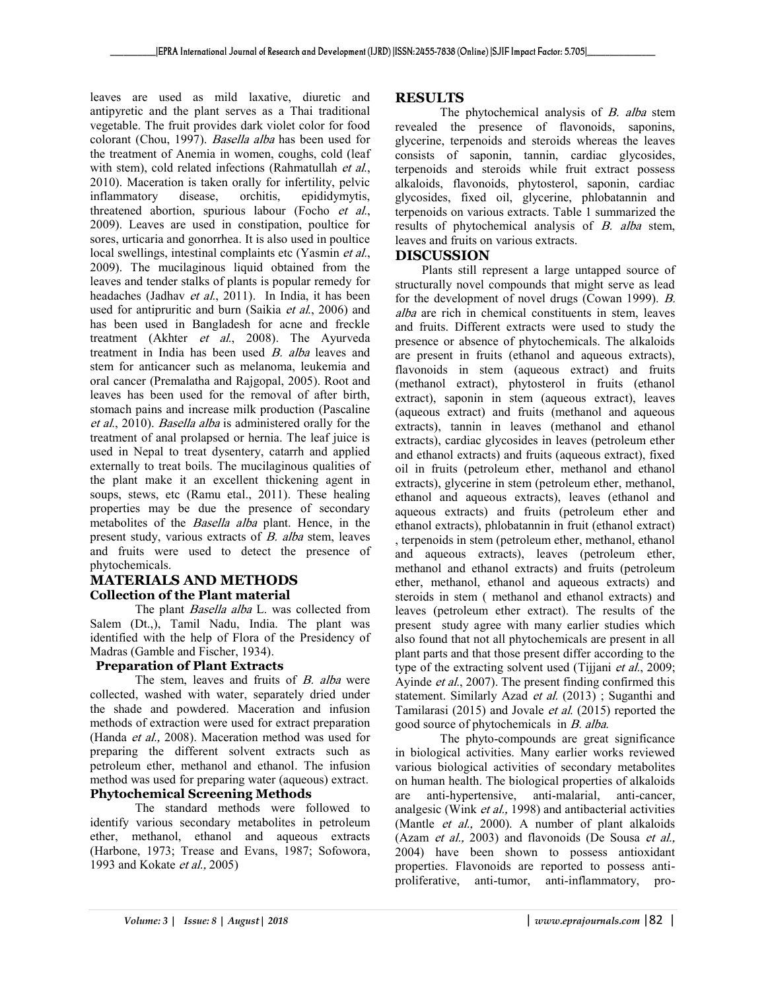leaves are used as mild laxative, diuretic and antipyretic and the plant serves as a Thai traditional vegetable. The fruit provides dark violet color for food colorant (Chou, 1997). Basella alba has been used for the treatment of Anemia in women, coughs, cold (leaf with stem), cold related infections (Rahmatullah *et al.*, 2010). Maceration is taken orally for infertility, pelvic inflammatory disease, orchitis, epididymytis, threatened abortion, spurious labour (Focho et al., 2009). Leaves are used in constipation, poultice for sores, urticaria and gonorrhea. It is also used in poultice local swellings, intestinal complaints etc (Yasmin *et al.*, 2009). The mucilaginous liquid obtained from the leaves and tender stalks of plants is popular remedy for headaches (Jadhav et al., 2011). In India, it has been used for antipruritic and burn (Saikia et al., 2006) and has been used in Bangladesh for acne and freckle treatment (Akhter et al., 2008). The Ayurveda treatment in India has been used B. alba leaves and stem for anticancer such as melanoma, leukemia and oral cancer (Premalatha and Rajgopal, 2005). Root and leaves has been used for the removal of after birth, stomach pains and increase milk production (Pascaline et al., 2010). Basella alba is administered orally for the treatment of anal prolapsed or hernia. The leaf juice is used in Nepal to treat dysentery, catarrh and applied externally to treat boils. The mucilaginous qualities of the plant make it an excellent thickening agent in soups, stews, etc (Ramu etal., 2011). These healing properties may be due the presence of secondary metabolites of the Basella alba plant. Hence, in the present study, various extracts of B. alba stem, leaves and fruits were used to detect the presence of phytochemicals.

#### **MATERIALS AND METHODS Collection of the Plant material**

The plant *Basella alba* L. was collected from Salem (Dt.,), Tamil Nadu, India. The plant was identified with the help of Flora of the Presidency of Madras (Gamble and Fischer, 1934).

#### **Preparation of Plant Extracts**

The stem, leaves and fruits of B. alba were collected, washed with water, separately dried under the shade and powdered. Maceration and infusion methods of extraction were used for extract preparation (Handa et al., 2008). Maceration method was used for preparing the different solvent extracts such as petroleum ether, methanol and ethanol. The infusion method was used for preparing water (aqueous) extract. **Phytochemical Screening Methods**

The standard methods were followed to identify various secondary metabolites in petroleum ether, methanol, ethanol and aqueous extracts (Harbone, 1973; Trease and Evans, 1987; Sofowora, 1993 and Kokate et al., 2005)

#### **RESULTS**

The phytochemical analysis of B. alba stem revealed the presence of flavonoids, saponins, glycerine, terpenoids and steroids whereas the leaves consists of saponin, tannin, cardiac glycosides, terpenoids and steroids while fruit extract possess alkaloids, flavonoids, phytosterol, saponin, cardiac glycosides, fixed oil, glycerine, phlobatannin and terpenoids on various extracts. Table 1 summarized the results of phytochemical analysis of B. alba stem, leaves and fruits on various extracts.

#### **DISCUSSION**

Plants still represent a large untapped source of structurally novel compounds that might serve as lead for the development of novel drugs (Cowan 1999). B. alba are rich in chemical constituents in stem, leaves and fruits. Different extracts were used to study the presence or absence of phytochemicals. The alkaloids are present in fruits (ethanol and aqueous extracts), flavonoids in stem (aqueous extract) and fruits (methanol extract), phytosterol in fruits (ethanol extract), saponin in stem (aqueous extract), leaves (aqueous extract) and fruits (methanol and aqueous extracts), tannin in leaves (methanol and ethanol extracts), cardiac glycosides in leaves (petroleum ether and ethanol extracts) and fruits (aqueous extract), fixed oil in fruits (petroleum ether, methanol and ethanol extracts), glycerine in stem (petroleum ether, methanol, ethanol and aqueous extracts), leaves (ethanol and aqueous extracts) and fruits (petroleum ether and ethanol extracts), phlobatannin in fruit (ethanol extract) , terpenoids in stem (petroleum ether, methanol, ethanol and aqueous extracts), leaves (petroleum ether, methanol and ethanol extracts) and fruits (petroleum ether, methanol, ethanol and aqueous extracts) and steroids in stem ( methanol and ethanol extracts) and leaves (petroleum ether extract). The results of the present study agree with many earlier studies which also found that not all phytochemicals are present in all plant parts and that those present differ according to the type of the extracting solvent used (Tijjani et al., 2009; Ayinde et al., 2007). The present finding confirmed this statement. Similarly Azad *et al.* (2013); Suganthi and Tamilarasi (2015) and Jovale et al. (2015) reported the good source of phytochemicals in B. alba.

The phyto-compounds are great significance in biological activities. Many earlier works reviewed various biological activities of secondary metabolites on human health. The biological properties of alkaloids are anti-hypertensive, anti-malarial, anti-cancer, analgesic (Wink et al., 1998) and antibacterial activities (Mantle et al., 2000). A number of plant alkaloids (Azam et al., 2003) and flavonoids (De Sousa et al., 2004) have been shown to possess antioxidant properties. Flavonoids are reported to possess antiproliferative, anti-tumor, anti-inflammatory, pro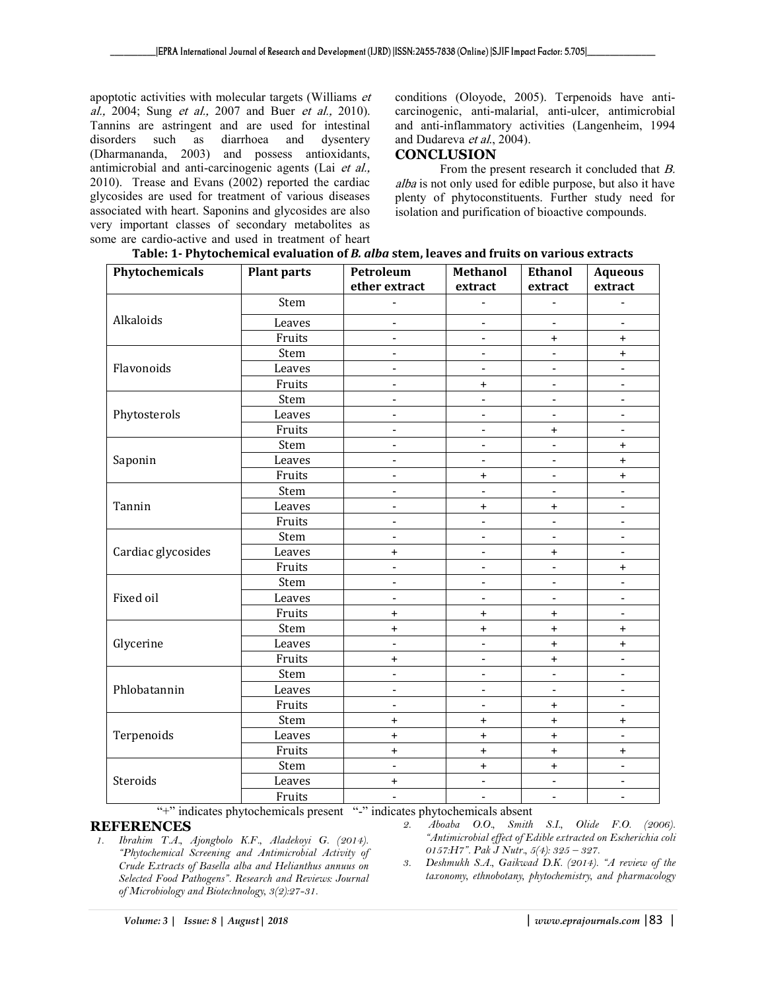apoptotic activities with molecular targets (Williams et al., 2004; Sung et al., 2007 and Buer et al., 2010). Tannins are astringent and are used for intestinal disorders such as diarrhoea and dysentery (Dharmananda, 2003) and possess antioxidants, antimicrobial and anti-carcinogenic agents (Lai et al., 2010). Trease and Evans (2002) reported the cardiac glycosides are used for treatment of various diseases associated with heart. Saponins and glycosides are also very important classes of secondary metabolites as some are cardio-active and used in treatment of heart conditions (Oloyode, 2005). Terpenoids have anticarcinogenic, anti-malarial, anti-ulcer, antimicrobial and anti-inflammatory activities (Langenheim, 1994 and Dudareva et al., 2004).

#### **CONCLUSION**

From the present research it concluded that B. alba is not only used for edible purpose, but also it have plenty of phytoconstituents. Further study need for isolation and purification of bioactive compounds.

| Table: 1- Phytochemical evaluation of <i>B. alba</i> stem, leaves and fruits on various extracts |  |
|--------------------------------------------------------------------------------------------------|--|
|                                                                                                  |  |

| Phytochemicals     | <b>Plant parts</b> | Petroleum                | <b>Methanol</b>              | <b>Ethanol</b>               | <b>Aqueous</b>                   |
|--------------------|--------------------|--------------------------|------------------------------|------------------------------|----------------------------------|
|                    |                    | ether extract            | extract                      | extract                      | extract                          |
|                    | Stem               |                          |                              |                              |                                  |
| Alkaloids          | Leaves             | $\overline{\phantom{a}}$ | $\qquad \qquad \blacksquare$ | $\overline{\phantom{a}}$     | $\blacksquare$                   |
|                    | Fruits             | $\blacksquare$           | $\blacksquare$               | $\ddot{}$                    | $\ddot{}$                        |
| Flavonoids         | Stem               | $\frac{1}{2}$            | $\overline{\phantom{0}}$     | $\overline{a}$               | $\ddot{}$                        |
|                    | Leaves             |                          |                              | $\blacksquare$               |                                  |
|                    | Fruits             | $\blacksquare$           | $\ddot{}$                    | $\blacksquare$               | $\blacksquare$                   |
| Phytosterols       | Stem               | $\blacksquare$           | $\overline{a}$               | $\blacksquare$               | $\blacksquare$                   |
|                    | Leaves             | $\blacksquare$           | $\blacksquare$               | $\blacksquare$               | $\qquad \qquad \blacksquare$     |
|                    | Fruits             | $\blacksquare$           | $\blacksquare$               | $\ddot{}$                    |                                  |
| Saponin            | Stem               | $\overline{\phantom{0}}$ | $\overline{\phantom{0}}$     | $\qquad \qquad \blacksquare$ | $\ddot{}$                        |
|                    | Leaves             | $\overline{\phantom{a}}$ | $\blacksquare$               | $\blacksquare$               | $\begin{array}{c} + \end{array}$ |
|                    | Fruits             | $\blacksquare$           | $\ddot{}$                    | $\blacksquare$               | $\ddot{}$                        |
| Tannin             | Stem               | $\overline{\phantom{0}}$ |                              | $\blacksquare$               |                                  |
|                    | Leaves             | $\frac{1}{2}$            | $\ddot{}$                    | $\ddot{}$                    | $\qquad \qquad \blacksquare$     |
|                    | Fruits             | $\overline{\phantom{a}}$ | $\overline{a}$               | $\overline{a}$               | ÷,                               |
| Cardiac glycosides | Stem               | $\blacksquare$           | $\overline{a}$               | $\blacksquare$               | $\blacksquare$                   |
|                    | Leaves             | $\ddot{}$                | L,                           | $\ddot{}$                    | $\blacksquare$                   |
|                    | Fruits             | ÷                        | $\overline{\phantom{0}}$     | ÷                            | $\ddot{}$                        |
| Fixed oil          | Stem               | $\blacksquare$           | $\blacksquare$               | $\blacksquare$               | $\overline{\phantom{a}}$         |
|                    | Leaves             | $\blacksquare$           | $\blacksquare$               | $\blacksquare$               | $\blacksquare$                   |
|                    | Fruits             | $\ddot{}$                | $\ddot{}$                    | $\pmb{+}$                    | $\blacksquare$                   |
| Glycerine          | Stem               | $\ddot{}$                | $\ddot{}$                    | $\ddot{}$                    | $\pmb{+}$                        |
|                    | Leaves             | $\overline{\phantom{0}}$ |                              | $\ddot{}$                    | $\ddot{}$                        |
|                    | Fruits             | $+$                      | $\blacksquare$               | $+$                          |                                  |
| Phlobatannin       | Stem               | $\overline{\phantom{a}}$ | $\frac{1}{2}$                | $\overline{\phantom{a}}$     | $\blacksquare$                   |
|                    | Leaves             | $\overline{\phantom{0}}$ | $\blacksquare$               | $\blacksquare$               | $\blacksquare$                   |
|                    | Fruits             | $\overline{\phantom{a}}$ | $\qquad \qquad \blacksquare$ | $\ddot{}$                    | $\overline{\phantom{a}}$         |
| Terpenoids         | Stem               | $\ddot{}$                | $\ddot{}$                    | $\ddot{}$                    | $\ddot{}$                        |
|                    | Leaves             | $\ddot{}$                | $\ddot{}$                    | $\ddot{}$                    | $\blacksquare$                   |
|                    | Fruits             | $\ddot{}$                | $^{+}$                       | $\ddot{}$                    | $\pmb{+}$                        |
| Steroids           |                    | $\frac{1}{2}$            | $\ddot{}$                    | $\ddot{}$                    | $\qquad \qquad \blacksquare$     |
|                    | Leaves             | $\ddot{}$                | $\blacksquare$               | $\frac{1}{2}$                | $\frac{1}{2}$                    |
|                    | Fruits             | $\blacksquare$           | $\overline{a}$               | $\blacksquare$               | $\sim$                           |

"+" indicates phytochemicals present "-" indicates phytochemicals absent

#### **REFERENCES**

- *1. Ibrahim T.A., Ajongbolo K.F., Aladekoyi G. (2014). "Phytochemical Screening and Antimicrobial Activity of Crude Extracts of Basella alba and Helianthus annuus on Selected Food Pathogens". Research and Reviews: Journal of Microbiology and Biotechnology, 3(2):27-31.*
- *2. Aboaba O.O., Smith S.I., Olide F.O. (2006). "Antimicrobial effect of Edible extracted on Escherichia coli 0157:H7". Pak J Nutr., 5(4): 325 – 327.*
- *3. Deshmukh S.A., Gaikwad D.K. (2014). "A review of the taxonomy, ethnobotany, phytochemistry, and pharmacology*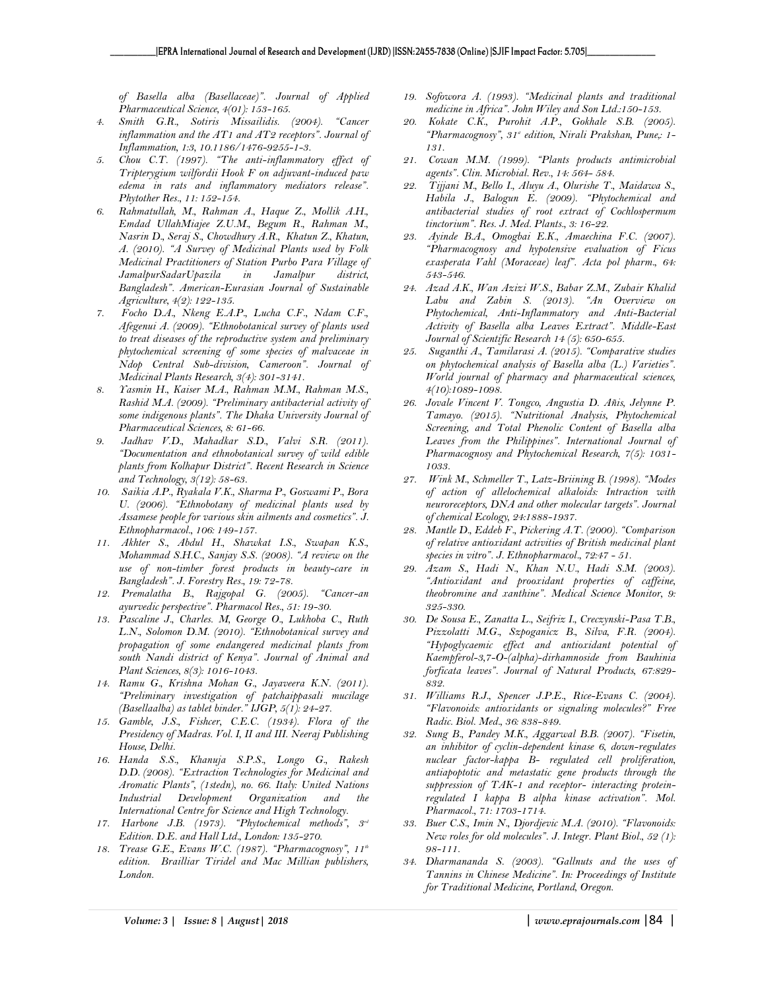*of Basella alba (Basellaceae)". Journal of Applied Pharmaceutical Science, 4(01): 153-165.* 

- *4. Smith G.R., Sotiris Missailidis. (2004). "Cancer inflammation and the AT1 and AT2 receptors". Journal of Inflammation, 1:3, 10.1186/1476-9255-1-3.*
- *5. Chou C.T. (1997). "The anti-inflammatory effect of Tripterygium wilfordii Hook F on adjuvant-induced paw edema in rats and inflammatory mediators release". Phytother Res., 11: 152-154.*
- *6. Rahmatullah, M., Rahman A., Haque Z., Mollik A.H., Emdad UllahMiajee Z.U.M., Begum R., Rahman M., Nasrin D., Seraj S., Chowdhury A.R., Khatun Z., Khatun, A. (2010). "A Survey of Medicinal Plants used by Folk Medicinal Practitioners of Station Purbo Para Village of JamalpurSadarUpazila in Jamalpur district, Bangladesh". American-Eurasian Journal of Sustainable Agriculture, 4(2): 122-135.*
- *7. Focho D.A., Nkeng E.A.P., Lucha C.F., Ndam C.F., Afegenui A. (2009). "Ethnobotanical survey of plants used to treat diseases of the reproductive system and preliminary phytochemical screening of some species of malvaceae in Ndop Central Sub-division, Cameroon". Journal of Medicinal Plants Research, 3(4): 301-3141.*
- *8. Yasmin H., Kaiser M.A., Rahman M.M., Rahman M.S., Rashid M.A. (2009). "Preliminary antibacterial activity of some indigenous plants". The Dhaka University Journal of Pharmaceutical Sciences, 8: 61-66.*
- *9. Jadhav V.D., Mahadkar S.D., Valvi S.R. (2011). "Documentation and ethnobotanical survey of wild edible plants from Kolhapur District". Recent Research in Science and Technology, 3(12): 58-63.*
- *10. Saikia A.P., Ryakala V.K., Sharma P., Goswami P., Bora U. (2006). "Ethnobotany of medicinal plants used by Assamese people for various skin ailments and cosmetics". J. Ethnopharmacol., 106: 149-157.*
- *11. Akhter S., Abdul H., Shawkat I.S., Swapan K.S., Mohammad S.H.C., Sanjay S.S. (2008). "A review on the use of non-timber forest products in beauty-care in Bangladesh". J. Forestry Res., 19: 72-78.*
- *12. Premalatha B., Rajgopal G. (2005). "Cancer-an ayurvedic perspective". Pharmacol Res., 51: 19-30.*
- *13. Pascaline J., Charles. M, George O., Lukhoba C., Ruth L.N., Solomon D.M. (2010). "Ethnobotanical survey and propagation of some endangered medicinal plants from south Nandi district of Kenya". Journal of Animal and Plant Sciences, 8(3): 1016-1043.*
- *14. Ramu G., Krishna Mohan G., Jayaveera K.N. (2011). "Preliminary investigation of patchaippasali mucilage (Basellaalba) as tablet binder." IJGP, 5(1): 24-27.*
- *15. Gamble, J.S., Fishcer, C.E.C. (1934). Flora of the Presidency of Madras. Vol. I, II and III. Neeraj Publishing House, Delhi.*
- *16. Handa S.S., Khanuja S.P.S., Longo G., Rakesh D.D. (2008). "Extraction Technologies for Medicinal and Aromatic Plants", (1stedn), no. 66. Italy: United Nations Industrial* Development Organization and *International Centre for Science and High Technology.*
- *17. Harbone J.B. (1973). "Phytochemical methods", 3rd Edition. D.E. and Hall Ltd., London: 135-270.*
- *18. Trease G.E., Evans W.C. (1987). "Pharmacognosy", 11th edition. Brailliar Tiridel and Mac Millian publishers, London.*
- *19. Sofowora A. (1993). "Medicinal plants and traditional medicine in Africa". John Wiley and Son Ltd.:150-153.*
- *20. Kokate C.K., Purohit A.P., Gokhale S.B. (2005). "Pharmacognosy", 31st edition, Nirali Prakshan, Pune,: 1- 131.*
- *21. Cowan M.M. (1999). "Plants products antimicrobial agents". Clin. Microbial. Rev., 14: 564- 584.*
- *22. Tijjani M., Bello I., Aluyu A., Olurishe T., Maidawa S., Habila J., Balogun E. (2009). "Phytochemical and antibacterial studies of root extract of Cochlospermum tinctorium". Res. J. Med. Plants., 3: 16-22.*
- *23. Ayinde B.A., Omogbai E.K., Amaechina F.C. (2007). "Pharmacognosy and hypotensive evaluation of Ficus exasperata Vahl (Moraceae) leaf". Acta pol pharm., 64: 543-546.*
- *24. Azad A.K., Wan Azizi W.S., Babar Z.M., Zubair Khalid Labu and Zabin S. (2013). "An Overview on Phytochemical, Anti-Inflammatory and Anti-Bacterial Activity of Basella alba Leaves Extract". Middle-East Journal of Scientific Research 14 (5): 650-655.*
- *25. Suganthi A., Tamilarasi A. (2015). "Comparative studies on phytochemical analysis of Basella alba (L.) Varieties". World journal of pharmacy and pharmaceutical sciences, 4(10):1089-1098.*
- *26. Jovale Vincent V. Tongco, Angustia D. Añis, Jelynne P. Tamayo. (2015). "Nutritional Analysis, Phytochemical Screening, and Total Phenolic Content of Basella alba Leaves from the Philippines". International Journal of Pharmacognosy and Phytochemical Research, 7(5): 1031- 1033.*
- *27. Wink M., Schmeller T., Latz-Briining B. (1998). "Modes of action of allelochemical alkaloids: Intraction with neuroreceptors, DNA and other molecular targets". Journal of chemical Ecology, 24:1888-1937.*
- *28. Mantle D., Eddeb F., Pickering A.T. (2000). "Comparison of relative antioxidant activities of British medicinal plant species in vitro". J. Ethnopharmacol., 72:47 - 51.*
- *29. Azam S., Hadi N., Khan N.U., Hadi S.M. (2003). "Antioxidant and prooxidant properties of caffeine, theobromine and xanthine". Medical Science Monitor, 9: 325-330.*
- *30. De Sousa E., Zanatta L., Seifriz I., Creczynski-Pasa T.B., Pizzolatti M.G., Szpoganicz B., Silva, F.R. (2004). "Hypoglycaemic effect and antioxidant potential of Kaempferol-3,7-O-(alpha)-dirhamnoside from Bauhinia forficata leaves". Journal of Natural Products, 67:829- 832.*
- *31. Williams R.J., Spencer J.P.E., Rice-Evans C. (2004). "Flavonoids: antioxidants or signaling molecules?" Free Radic. Biol. Med., 36: 838-849.*
- *32. Sung B., Pandey M.K., Aggarwal B.B. (2007). "Fisetin, an inhibitor of cyclin-dependent kinase 6, down-regulates nuclear factor-kappa B- regulated cell proliferation, antiapoptotic and metastatic gene products through the suppression of TAK-1 and receptor- interacting proteinregulated I kappa B alpha kinase activation". Mol. Pharmacol., 71: 1703-1714.*
- *33. Buer C.S., Imin N., Djordjevic M.A. (2010). "Flavonoids: New roles for old molecules". J. Integr. Plant Biol., 52 (1): 98-111.*
- *34. Dharmananda S. (2003). "Gallnuts and the uses of Tannins in Chinese Medicine". In: Proceedings of Institute for Traditional Medicine, Portland, Oregon.*